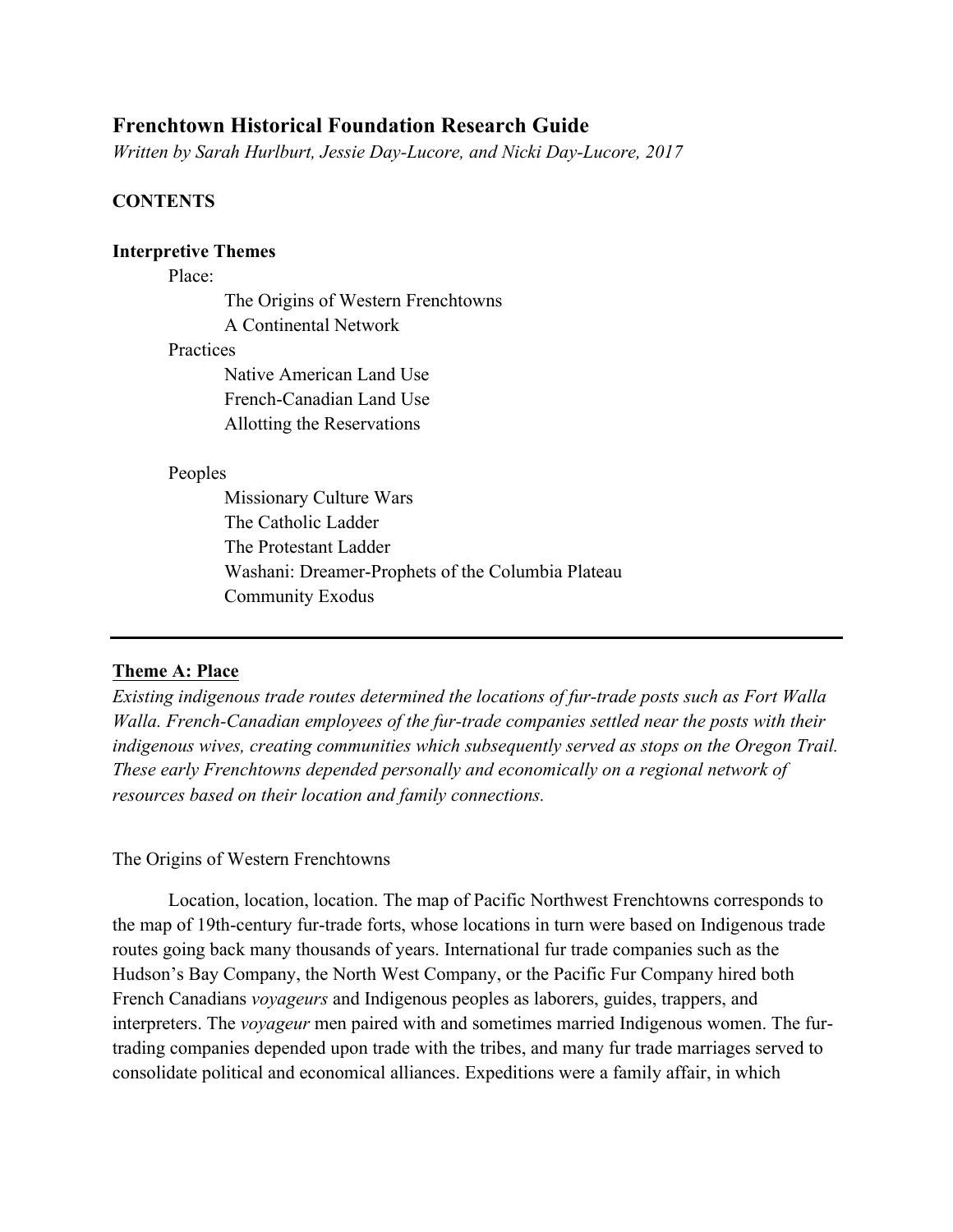# **Frenchtown Historical Foundation Research Guide**

*Written by Sarah Hurlburt, Jessie Day-Lucore, and Nicki Day-Lucore, 2017*

# **CONTENTS**

### **Interpretive Themes**

### Place:

The Origins of Western Frenchtowns A Continental Network

### **Practices**

Native American Land Use French-Canadian Land Use Allotting the Reservations

### Peoples

Missionary Culture Wars The Catholic Ladder The Protestant Ladder Washani: Dreamer-Prophets of the Columbia Plateau Community Exodus

# **Theme A: Place**

*Existing indigenous trade routes determined the locations of fur-trade posts such as Fort Walla Walla. French-Canadian employees of the fur-trade companies settled near the posts with their indigenous wives, creating communities which subsequently served as stops on the Oregon Trail. These early Frenchtowns depended personally and economically on a regional network of resources based on their location and family connections.* 

# The Origins of Western Frenchtowns

Location, location, location. The map of Pacific Northwest Frenchtowns corresponds to the map of 19th-century fur-trade forts, whose locations in turn were based on Indigenous trade routes going back many thousands of years. International fur trade companies such as the Hudson's Bay Company, the North West Company, or the Pacific Fur Company hired both French Canadians *voyageurs* and Indigenous peoples as laborers, guides, trappers, and interpreters. The *voyageur* men paired with and sometimes married Indigenous women. The furtrading companies depended upon trade with the tribes, and many fur trade marriages served to consolidate political and economical alliances. Expeditions were a family affair, in which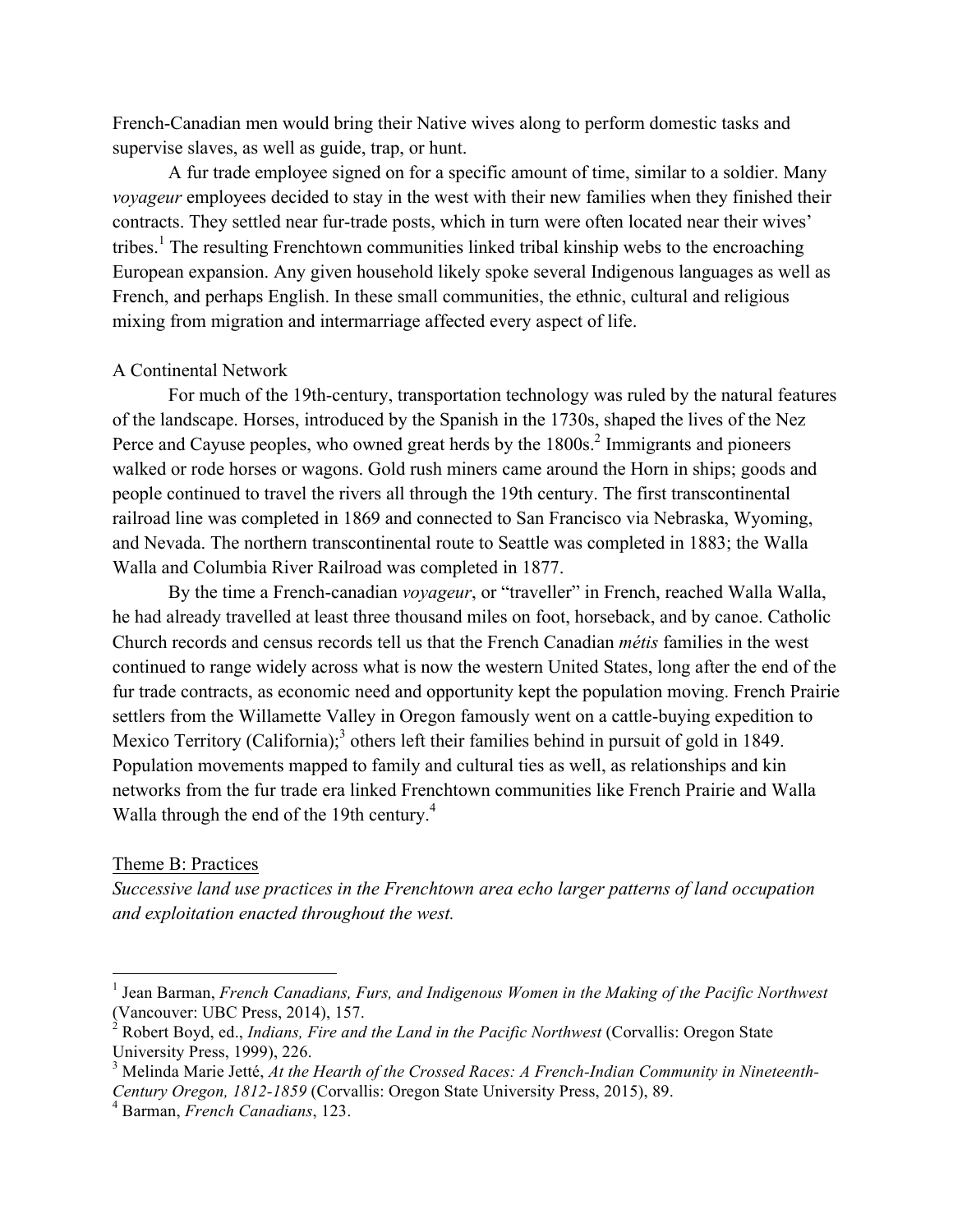French-Canadian men would bring their Native wives along to perform domestic tasks and supervise slaves, as well as guide, trap, or hunt.

A fur trade employee signed on for a specific amount of time, similar to a soldier. Many *voyageur* employees decided to stay in the west with their new families when they finished their contracts. They settled near fur-trade posts, which in turn were often located near their wives' tribes.<sup>1</sup> The resulting Frenchtown communities linked tribal kinship webs to the encroaching European expansion. Any given household likely spoke several Indigenous languages as well as French, and perhaps English. In these small communities, the ethnic, cultural and religious mixing from migration and intermarriage affected every aspect of life.

### A Continental Network

For much of the 19th-century, transportation technology was ruled by the natural features of the landscape. Horses, introduced by the Spanish in the 1730s, shaped the lives of the Nez Perce and Cayuse peoples, who owned great herds by the 1800s.<sup>2</sup> Immigrants and pioneers walked or rode horses or wagons. Gold rush miners came around the Horn in ships; goods and people continued to travel the rivers all through the 19th century. The first transcontinental railroad line was completed in 1869 and connected to San Francisco via Nebraska, Wyoming, and Nevada. The northern transcontinental route to Seattle was completed in 1883; the Walla Walla and Columbia River Railroad was completed in 1877.

By the time a French-canadian *voyageur*, or "traveller" in French, reached Walla Walla, he had already travelled at least three thousand miles on foot, horseback, and by canoe. Catholic Church records and census records tell us that the French Canadian *métis* families in the west continued to range widely across what is now the western United States, long after the end of the fur trade contracts, as economic need and opportunity kept the population moving. French Prairie settlers from the Willamette Valley in Oregon famously went on a cattle-buying expedition to Mexico Territory (California);<sup>3</sup> others left their families behind in pursuit of gold in 1849. Population movements mapped to family and cultural ties as well, as relationships and kin networks from the fur trade era linked Frenchtown communities like French Prairie and Walla Walla through the end of the 19th century.<sup>4</sup>

### Theme B: Practices

*Successive land use practices in the Frenchtown area echo larger patterns of land occupation and exploitation enacted throughout the west.* 

<sup>&</sup>lt;sup>1</sup> Jean Barman, *French Canadians, Furs, and Indigenous Women in the Making of the Pacific Northwest* (Vancouver: UBC Press, 2014), 157.

<sup>&</sup>lt;sup>2</sup> Robert Boyd, ed., *Indians, Fire and the Land in the Pacific Northwest* (Corvallis: Oregon State University Press, 1999), 226.

<sup>3</sup> Melinda Marie Jetté, *At the Hearth of the Crossed Races: A French-Indian Community in Nineteenth-Century Oregon, 1812-1859* (Corvallis: Oregon State University Press, 2015), 89.

<sup>4</sup> Barman, *French Canadians*, 123.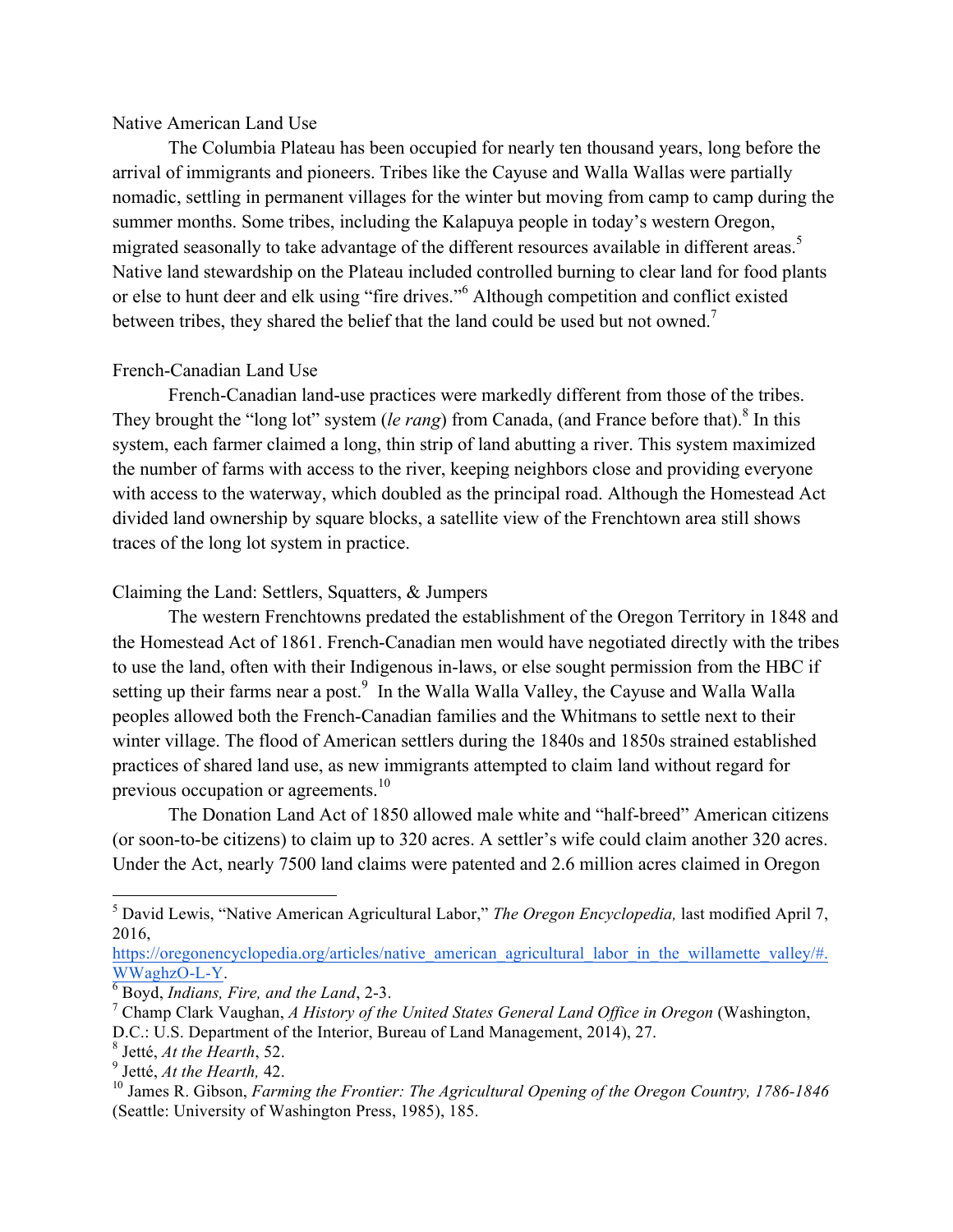#### Native American Land Use

The Columbia Plateau has been occupied for nearly ten thousand years, long before the arrival of immigrants and pioneers. Tribes like the Cayuse and Walla Wallas were partially nomadic, settling in permanent villages for the winter but moving from camp to camp during the summer months. Some tribes, including the Kalapuya people in today's western Oregon, migrated seasonally to take advantage of the different resources available in different areas.<sup>5</sup> Native land stewardship on the Plateau included controlled burning to clear land for food plants or else to hunt deer and elk using "fire drives."<sup>6</sup> Although competition and conflict existed between tribes, they shared the belief that the land could be used but not owned.<sup>7</sup>

# French-Canadian Land Use

French-Canadian land-use practices were markedly different from those of the tribes. They brought the "long lot" system *(le rang)* from Canada, (and France before that).<sup>8</sup> In this system, each farmer claimed a long, thin strip of land abutting a river. This system maximized the number of farms with access to the river, keeping neighbors close and providing everyone with access to the waterway, which doubled as the principal road. Although the Homestead Act divided land ownership by square blocks, a satellite view of the Frenchtown area still shows traces of the long lot system in practice.

# Claiming the Land: Settlers, Squatters, & Jumpers

The western Frenchtowns predated the establishment of the Oregon Territory in 1848 and the Homestead Act of 1861. French-Canadian men would have negotiated directly with the tribes to use the land, often with their Indigenous in-laws, or else sought permission from the HBC if setting up their farms near a post.<sup>9</sup> In the Walla Walla Valley, the Cayuse and Walla Walla peoples allowed both the French-Canadian families and the Whitmans to settle next to their winter village. The flood of American settlers during the 1840s and 1850s strained established practices of shared land use, as new immigrants attempted to claim land without regard for previous occupation or agreements.<sup>10</sup>

The Donation Land Act of 1850 allowed male white and "half-breed" American citizens (or soon-to-be citizens) to claim up to 320 acres. A settler's wife could claim another 320 acres. Under the Act, nearly 7500 land claims were patented and 2.6 million acres claimed in Oregon

https://oregonencyclopedia.org/articles/native\_american\_agricultural\_labor\_in\_the\_willamette\_valley/#. WWaghzO-L-Y. 6 Boyd, *Indians, Fire, and the Land*, 2-3.

 <sup>5</sup> David Lewis, "Native American Agricultural Labor," *The Oregon Encyclopedia,* last modified April 7, 2016,

<sup>7</sup> Champ Clark Vaughan, *A History of the United States General Land Office in Oregon* (Washington, D.C.: U.S. Department of the Interior, Bureau of Land Management, 2014), 27.

<sup>8</sup> Jetté, *At the Hearth*, 52.

<sup>9</sup> Jetté, *At the Hearth,* 42.

<sup>&</sup>lt;sup>10</sup> James R. Gibson, *Farming the Frontier: The Agricultural Opening of the Oregon Country, 1786-1846* (Seattle: University of Washington Press, 1985), 185.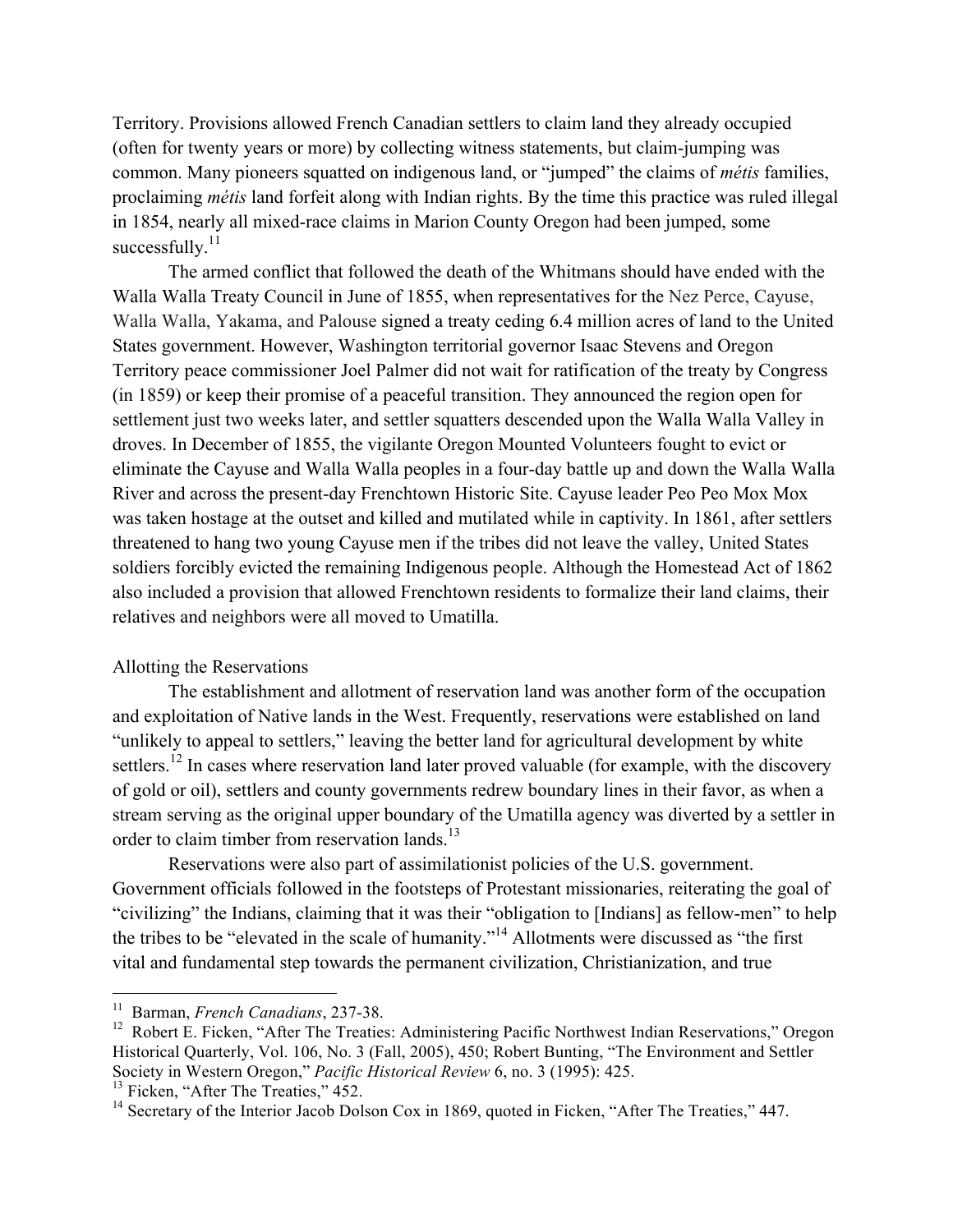Territory. Provisions allowed French Canadian settlers to claim land they already occupied (often for twenty years or more) by collecting witness statements, but claim-jumping was common. Many pioneers squatted on indigenous land, or "jumped" the claims of *métis* families, proclaiming *métis* land forfeit along with Indian rights. By the time this practice was ruled illegal in 1854, nearly all mixed-race claims in Marion County Oregon had been jumped, some successfully. $^{11}$ 

The armed conflict that followed the death of the Whitmans should have ended with the Walla Walla Treaty Council in June of 1855, when representatives for the Nez Perce, Cayuse, Walla Walla, Yakama, and Palouse signed a treaty ceding 6.4 million acres of land to the United States government. However, Washington territorial governor Isaac Stevens and Oregon Territory peace commissioner Joel Palmer did not wait for ratification of the treaty by Congress (in 1859) or keep their promise of a peaceful transition. They announced the region open for settlement just two weeks later, and settler squatters descended upon the Walla Walla Valley in droves. In December of 1855, the vigilante Oregon Mounted Volunteers fought to evict or eliminate the Cayuse and Walla Walla peoples in a four-day battle up and down the Walla Walla River and across the present-day Frenchtown Historic Site. Cayuse leader Peo Peo Mox Mox was taken hostage at the outset and killed and mutilated while in captivity. In 1861, after settlers threatened to hang two young Cayuse men if the tribes did not leave the valley, United States soldiers forcibly evicted the remaining Indigenous people. Although the Homestead Act of 1862 also included a provision that allowed Frenchtown residents to formalize their land claims, their relatives and neighbors were all moved to Umatilla.

# Allotting the Reservations

The establishment and allotment of reservation land was another form of the occupation and exploitation of Native lands in the West. Frequently, reservations were established on land "unlikely to appeal to settlers," leaving the better land for agricultural development by white settlers.<sup>12</sup> In cases where reservation land later proved valuable (for example, with the discovery of gold or oil), settlers and county governments redrew boundary lines in their favor, as when a stream serving as the original upper boundary of the Umatilla agency was diverted by a settler in order to claim timber from reservation lands.<sup>13</sup>

Reservations were also part of assimilationist policies of the U.S. government. Government officials followed in the footsteps of Protestant missionaries, reiterating the goal of "civilizing" the Indians, claiming that it was their "obligation to [Indians] as fellow-men" to help the tribes to be "elevated in the scale of humanity."<sup>14</sup> Allotments were discussed as "the first vital and fundamental step towards the permanent civilization, Christianization, and true

 <sup>11</sup> Barman, *French Canadians*, 237-38.

<sup>&</sup>lt;sup>12</sup> Robert E. Ficken, "After The Treaties: Administering Pacific Northwest Indian Reservations," Oregon Historical Quarterly, Vol. 106, No. 3 (Fall, 2005), 450; Robert Bunting, "The Environment and Settler Society in Western Oregon," *Pacific Historical Review* 6, no. 3 (1995): 425.

 $13$  Ficken, "After The Treaties,"  $452$ .

<sup>&</sup>lt;sup>14</sup> Secretary of the Interior Jacob Dolson Cox in 1869, quoted in Ficken, "After The Treaties," 447.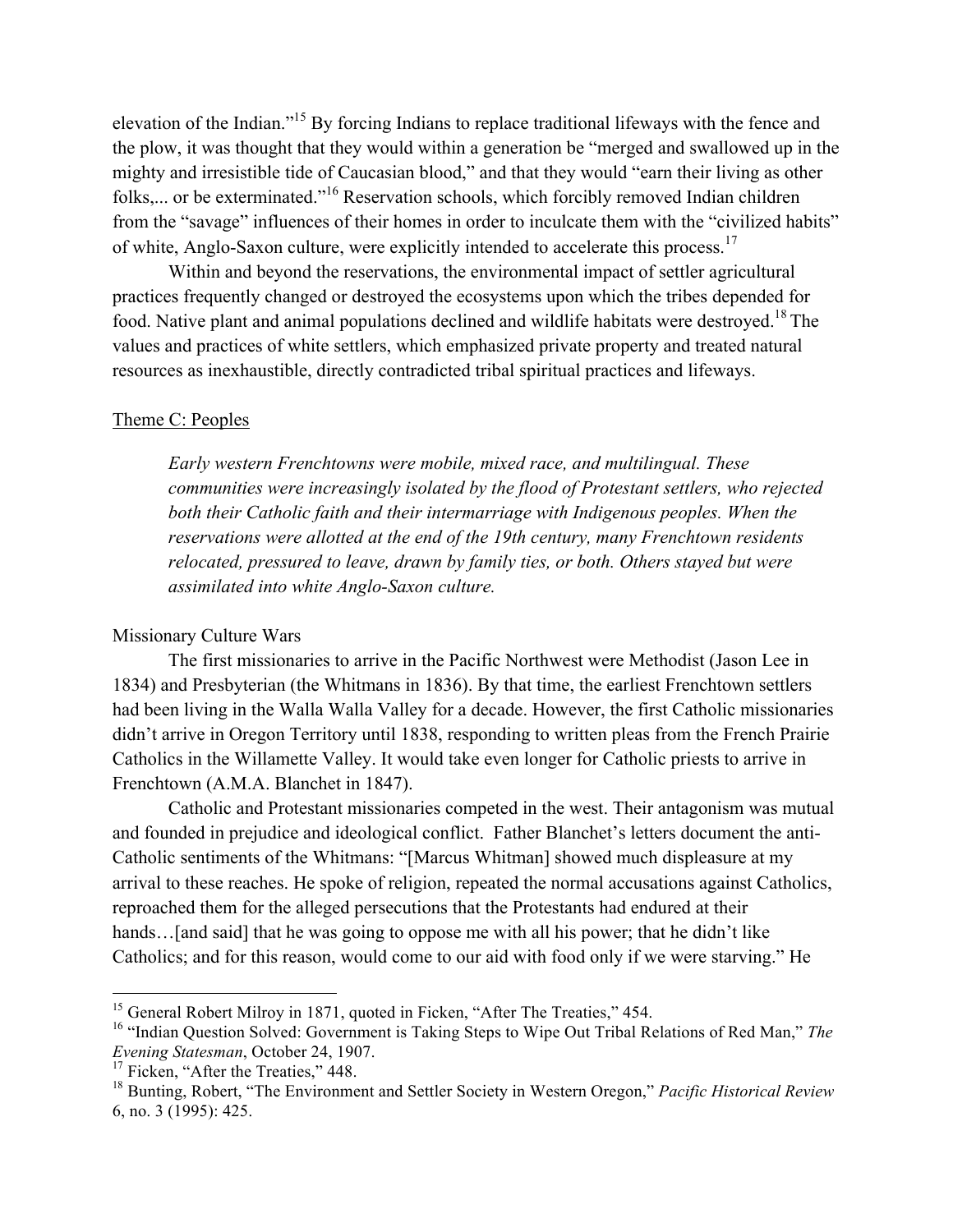elevation of the Indian."<sup>15</sup> By forcing Indians to replace traditional lifeways with the fence and the plow, it was thought that they would within a generation be "merged and swallowed up in the mighty and irresistible tide of Caucasian blood," and that they would "earn their living as other folks,... or be exterminated."<sup>16</sup> Reservation schools, which forcibly removed Indian children from the "savage" influences of their homes in order to inculcate them with the "civilized habits" of white, Anglo-Saxon culture, were explicitly intended to accelerate this process.<sup>17</sup>

Within and beyond the reservations, the environmental impact of settler agricultural practices frequently changed or destroyed the ecosystems upon which the tribes depended for food. Native plant and animal populations declined and wildlife habitats were destroyed.18 The values and practices of white settlers, which emphasized private property and treated natural resources as inexhaustible, directly contradicted tribal spiritual practices and lifeways.

#### Theme C: Peoples

*Early western Frenchtowns were mobile, mixed race, and multilingual. These communities were increasingly isolated by the flood of Protestant settlers, who rejected* both their Catholic faith and their intermarriage with Indigenous peoples. When the *reservations were allotted at the end of the 19th century, many Frenchtown residents relocated, pressured to leave, drawn by family ties, or both. Others stayed but were assimilated into white Anglo-Saxon culture.*

### Missionary Culture Wars

The first missionaries to arrive in the Pacific Northwest were Methodist (Jason Lee in 1834) and Presbyterian (the Whitmans in 1836). By that time, the earliest Frenchtown settlers had been living in the Walla Walla Valley for a decade. However, the first Catholic missionaries didn't arrive in Oregon Territory until 1838, responding to written pleas from the French Prairie Catholics in the Willamette Valley. It would take even longer for Catholic priests to arrive in Frenchtown (A.M.A. Blanchet in 1847).

Catholic and Protestant missionaries competed in the west. Their antagonism was mutual and founded in prejudice and ideological conflict. Father Blanchet's letters document the anti-Catholic sentiments of the Whitmans: "[Marcus Whitman] showed much displeasure at my arrival to these reaches. He spoke of religion, repeated the normal accusations against Catholics, reproached them for the alleged persecutions that the Protestants had endured at their hands... [and said] that he was going to oppose me with all his power; that he didn't like Catholics; and for this reason, would come to our aid with food only if we were starving." He

<sup>&</sup>lt;sup>15</sup> General Robert Milroy in 1871, quoted in Ficken, "After The Treaties," 454.

<sup>16</sup> "Indian Question Solved: Government is Taking Steps to Wipe Out Tribal Relations of Red Man," *The Evening Statesman*, October 24, 1907.

<sup>&</sup>lt;sup>17</sup> Ficken, "After the Treaties," 448.

<sup>18</sup> Bunting, Robert, "The Environment and Settler Society in Western Oregon," *Pacific Historical Review* 6, no. 3 (1995): 425.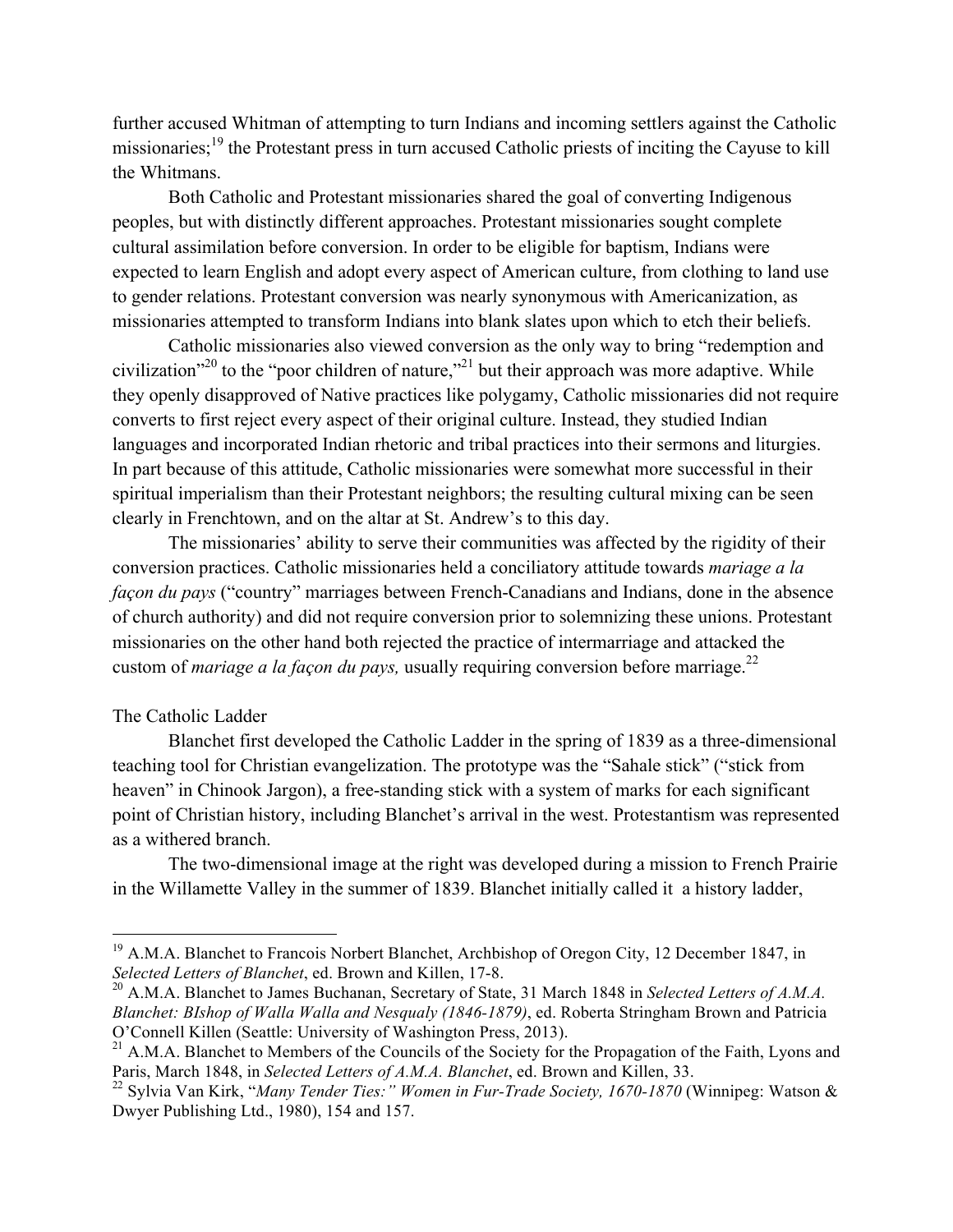further accused Whitman of attempting to turn Indians and incoming settlers against the Catholic missionaries;<sup>19</sup> the Protestant press in turn accused Catholic priests of inciting the Cayuse to kill the Whitmans.

Both Catholic and Protestant missionaries shared the goal of converting Indigenous peoples, but with distinctly different approaches. Protestant missionaries sought complete cultural assimilation before conversion. In order to be eligible for baptism, Indians were expected to learn English and adopt every aspect of American culture, from clothing to land use to gender relations. Protestant conversion was nearly synonymous with Americanization, as missionaries attempted to transform Indians into blank slates upon which to etch their beliefs.

Catholic missionaries also viewed conversion as the only way to bring "redemption and civilization<sup> $20$ </sup> to the "poor children of nature,"<sup>21</sup> but their approach was more adaptive. While they openly disapproved of Native practices like polygamy, Catholic missionaries did not require converts to first reject every aspect of their original culture. Instead, they studied Indian languages and incorporated Indian rhetoric and tribal practices into their sermons and liturgies. In part because of this attitude, Catholic missionaries were somewhat more successful in their spiritual imperialism than their Protestant neighbors; the resulting cultural mixing can be seen clearly in Frenchtown, and on the altar at St. Andrew's to this day.

The missionaries' ability to serve their communities was affected by the rigidity of their conversion practices. Catholic missionaries held a conciliatory attitude towards *mariage a la façon du pays* ("country" marriages between French-Canadians and Indians, done in the absence of church authority) and did not require conversion prior to solemnizing these unions. Protestant missionaries on the other hand both rejected the practice of intermarriage and attacked the custom of *mariage a la façon du pays*, usually requiring conversion before marriage.<sup>22</sup>

### The Catholic Ladder

Blanchet first developed the Catholic Ladder in the spring of 1839 as a three-dimensional teaching tool for Christian evangelization. The prototype was the "Sahale stick" ("stick from heaven" in Chinook Jargon), a free-standing stick with a system of marks for each significant point of Christian history, including Blanchet's arrival in the west. Protestantism was represented as a withered branch.

The two-dimensional image at the right was developed during a mission to French Prairie in the Willamette Valley in the summer of 1839. Blanchet initially called it a history ladder,

<sup>&</sup>lt;sup>19</sup> A.M.A. Blanchet to Francois Norbert Blanchet, Archbishop of Oregon City, 12 December 1847, in *Selected Letters of Blanchet*, ed. Brown and Killen, 17-8.

<sup>20</sup> A.M.A. Blanchet to James Buchanan, Secretary of State, 31 March 1848 in *Selected Letters of A.M.A. Blanchet: BIshop of Walla Walla and Nesqualy (1846-1879)*, ed. Roberta Stringham Brown and Patricia O'Connell Killen (Seattle: University of Washington Press, 2013).

 $^{21}$  A.M.A. Blanchet to Members of the Councils of the Society for the Propagation of the Faith, Lyons and Paris, March 1848, in *Selected Letters of A.M.A. Blanchet*, ed. Brown and Killen, 33.

<sup>22</sup> Sylvia Van Kirk, "*Many Tender Ties:" Women in Fur-Trade Society, 1670-1870* (Winnipeg: Watson & Dwyer Publishing Ltd., 1980), 154 and 157.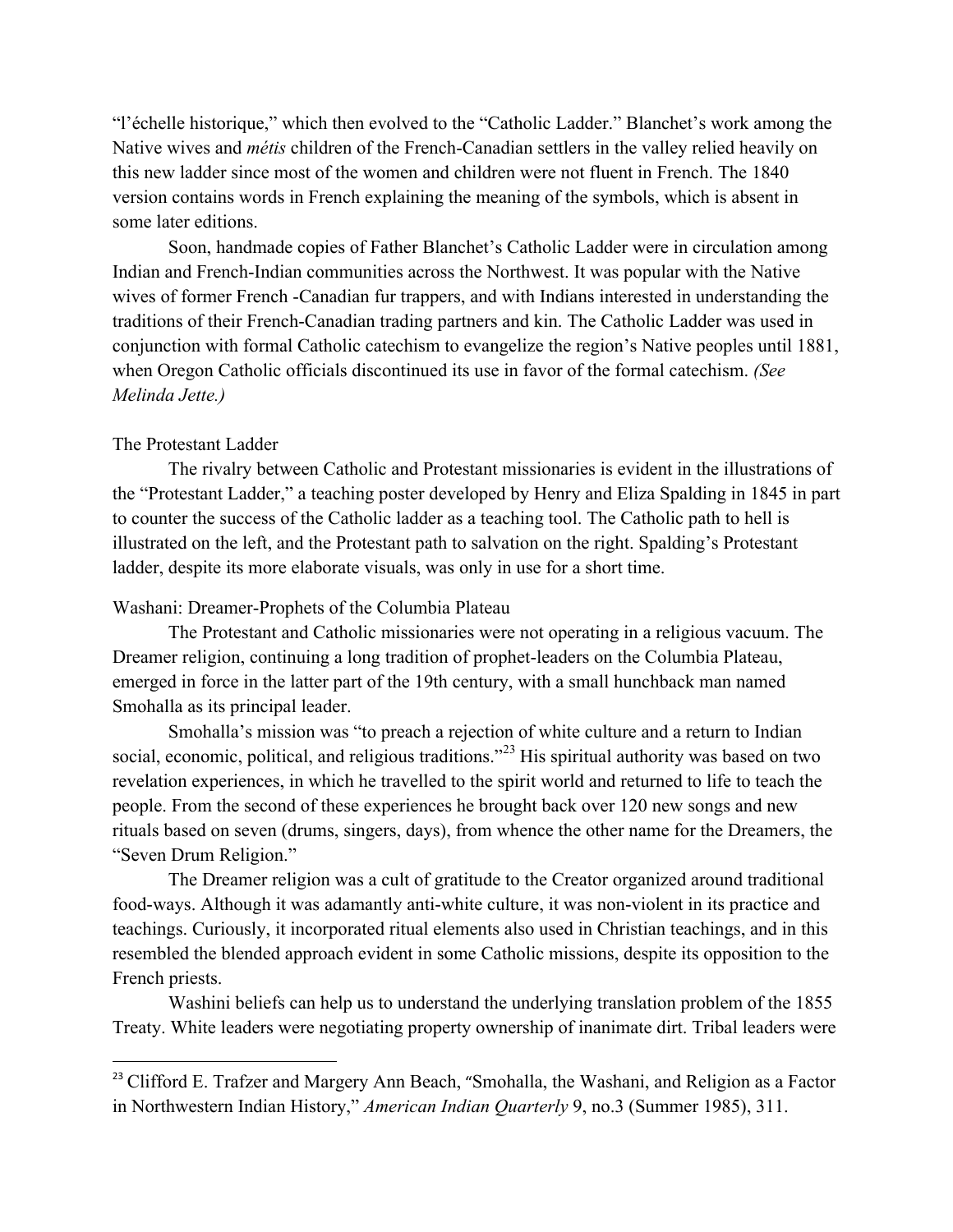"l'échelle historique," which then evolved to the "Catholic Ladder." Blanchet's work among the Native wives and *métis* children of the French-Canadian settlers in the valley relied heavily on this new ladder since most of the women and children were not fluent in French. The 1840 version contains words in French explaining the meaning of the symbols, which is absent in some later editions.

Soon, handmade copies of Father Blanchet's Catholic Ladder were in circulation among Indian and French-Indian communities across the Northwest. It was popular with the Native wives of former French -Canadian fur trappers, and with Indians interested in understanding the traditions of their French-Canadian trading partners and kin. The Catholic Ladder was used in conjunction with formal Catholic catechism to evangelize the region's Native peoples until 1881, when Oregon Catholic officials discontinued its use in favor of the formal catechism. *(See Melinda Jette.)*

### The Protestant Ladder

<u>.</u>

The rivalry between Catholic and Protestant missionaries is evident in the illustrations of the "Protestant Ladder," a teaching poster developed by Henry and Eliza Spalding in 1845 in part to counter the success of the Catholic ladder as a teaching tool. The Catholic path to hell is illustrated on the left, and the Protestant path to salvation on the right. Spalding's Protestant ladder, despite its more elaborate visuals, was only in use for a short time.

#### Washani: Dreamer-Prophets of the Columbia Plateau

The Protestant and Catholic missionaries were not operating in a religious vacuum. The Dreamer religion, continuing a long tradition of prophet-leaders on the Columbia Plateau, emerged in force in the latter part of the 19th century, with a small hunchback man named Smohalla as its principal leader.

Smohalla's mission was "to preach a rejection of white culture and a return to Indian social, economic, political, and religious traditions.<sup>23</sup> His spiritual authority was based on two revelation experiences, in which he travelled to the spirit world and returned to life to teach the people. From the second of these experiences he brought back over 120 new songs and new rituals based on seven (drums, singers, days), from whence the other name for the Dreamers, the "Seven Drum Religion."

The Dreamer religion was a cult of gratitude to the Creator organized around traditional food-ways. Although it was adamantly anti-white culture, it was non-violent in its practice and teachings. Curiously, it incorporated ritual elements also used in Christian teachings, and in this resembled the blended approach evident in some Catholic missions, despite its opposition to the French priests.

Washini beliefs can help us to understand the underlying translation problem of the 1855 Treaty. White leaders were negotiating property ownership of inanimate dirt. Tribal leaders were

<sup>&</sup>lt;sup>23</sup> Clifford E. Trafzer and Margery Ann Beach, "Smohalla, the Washani, and Religion as a Factor in Northwestern Indian History," *American Indian Quarterly* 9, no.3 (Summer 1985), 311.